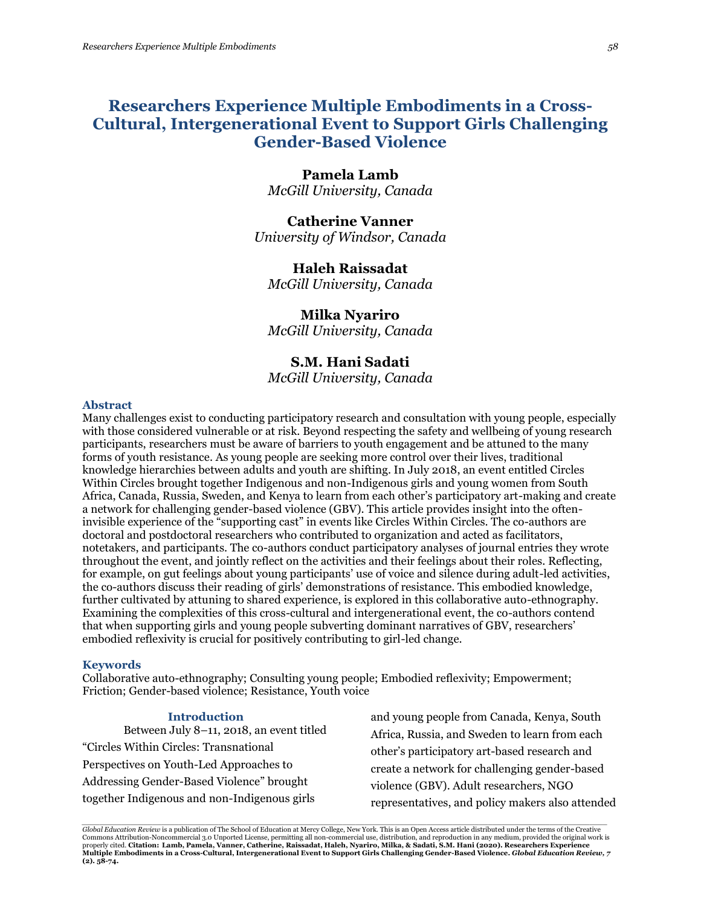# **Researchers Experience Multiple Embodiments in a Cross-Cultural, Intergenerational Event to Support Girls Challenging Gender-Based Violence**

# **Pamela Lamb**

*McGill University, Canada*

**Catherine Vanner** *University of Windsor, Canada*

# **Haleh Raissadat**

*McGill University, Canada*

## **Milka Nyariro**

*McGill University, Canada*

## **S.M. Hani Sadati**

*McGill University, Canada*

## **Abstract**

Many challenges exist to conducting participatory research and consultation with young people, especially with those considered vulnerable or at risk. Beyond respecting the safety and wellbeing of young research participants, researchers must be aware of barriers to youth engagement and be attuned to the many forms of youth resistance. As young people are seeking more control over their lives, traditional knowledge hierarchies between adults and youth are shifting. In July 2018, an event entitled Circles Within Circles brought together Indigenous and non-Indigenous girls and young women from South Africa, Canada, Russia, Sweden, and Kenya to learn from each other's participatory art-making and create a network for challenging gender-based violence (GBV). This article provides insight into the ofteninvisible experience of the "supporting cast" in events like Circles Within Circles. The co-authors are doctoral and postdoctoral researchers who contributed to organization and acted as facilitators, notetakers, and participants. The co-authors conduct participatory analyses of journal entries they wrote throughout the event, and jointly reflect on the activities and their feelings about their roles. Reflecting, for example, on gut feelings about young participants' use of voice and silence during adult-led activities, the co-authors discuss their reading of girls' demonstrations of resistance. This embodied knowledge, further cultivated by attuning to shared experience, is explored in this collaborative auto-ethnography. Examining the complexities of this cross-cultural and intergenerational event, the co-authors contend that when supporting girls and young people subverting dominant narratives of GBV, researchers' embodied reflexivity is crucial for positively contributing to girl-led change.

## **Keywords**

Collaborative auto-ethnography; Consulting young people; Embodied reflexivity; Empowerment; Friction; Gender-based violence; Resistance, Youth voice

## **Introduction**

Between July 8–11, 2018, an event titled "Circles Within Circles: Transnational Perspectives on Youth-Led Approaches to Addressing Gender-Based Violence" brought together Indigenous and non-Indigenous girls

and young people from Canada, Kenya, South Africa, Russia, and Sweden to learn from each other's participatory art-based research and create a network for challenging gender-based violence (GBV). Adult researchers, NGO representatives, and policy makers also attended

.<br>Global Education Review is a publication of The School of Education at Mercy College, New York. This is an Open Access article distributed under the terms of the Creative Commons Attribution-Noncommercial 3.0 Unported License, permitting all non-commercial use, distribution, and reproduction in any medium, provided the original work is<br>properly cited. **Citation: Lamb, Pamela, Vanner, Cather Multiple Embodiments in a Cross-Cultural, Intergenerational Event to Support Girls Challenging Gender-Based Violence.** *Global Education Review, 7* **(2). 58-74.**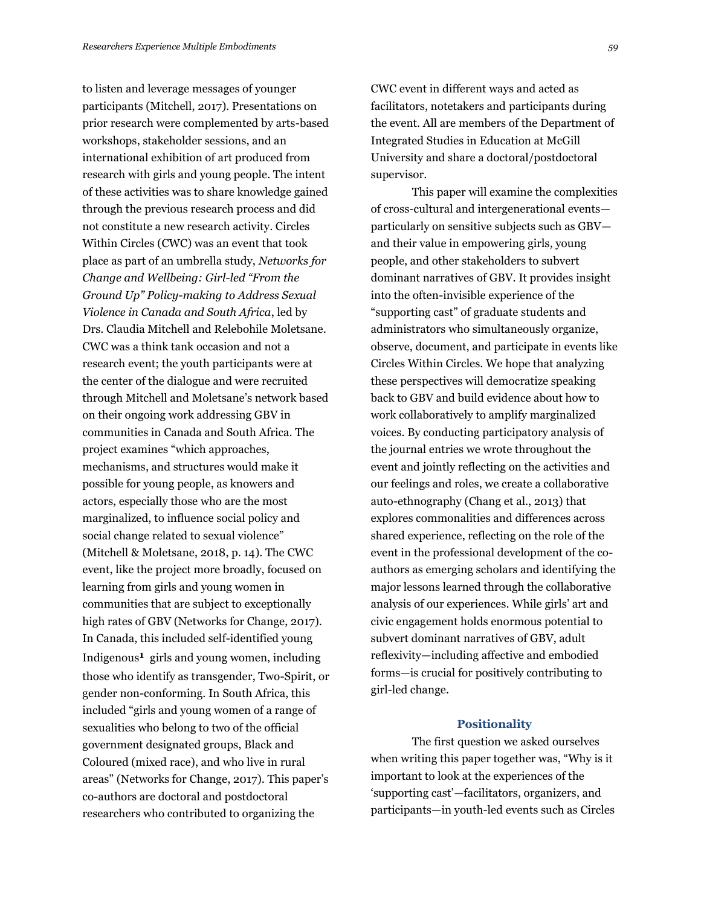to listen and leverage messages of younger participants (Mitchell, 2017). Presentations on prior research were complemented by arts-based workshops, stakeholder sessions, and an international exhibition of art produced from research with girls and young people. The intent of these activities was to share knowledge gained through the previous research process and did not constitute a new research activity. Circles Within Circles (CWC) was an event that took place as part of an umbrella study, *Networks for Change and Wellbeing: Girl-led "From the Ground Up" Policy-making to Address Sexual Violence in Canada and South Africa*, led by Drs. Claudia Mitchell and Relebohile Moletsane. CWC was a think tank occasion and not a research event; the youth participants were at the center of the dialogue and were recruited through Mitchell and Moletsane's network based on their ongoing work addressing GBV in communities in Canada and South Africa. The project examines "which approaches, mechanisms, and structures would make it possible for young people, as knowers and actors, especially those who are the most marginalized, to influence social policy and social change related to sexual violence" (Mitchell & Moletsane, 2018, p. 14). The CWC event, like the project more broadly, focused on learning from girls and young women in communities that are subject to exceptionally high rates of GBV (Networks for Change, 2017). In Canada, this included self-identified young Indigenous**1** girls and young women, including those who identify as transgender, Two-Spirit, or gender non-conforming. In South Africa, this included "girls and young women of a range of sexualities who belong to two of the official government designated groups, Black and Coloured (mixed race), and who live in rural areas" (Networks for Change, 2017). This paper's co-authors are doctoral and postdoctoral researchers who contributed to organizing the

CWC event in different ways and acted as facilitators, notetakers and participants during the event. All are members of the Department of Integrated Studies in Education at McGill University and share a doctoral/postdoctoral supervisor.

This paper will examine the complexities of cross-cultural and intergenerational events particularly on sensitive subjects such as GBV and their value in empowering girls, young people, and other stakeholders to subvert dominant narratives of GBV. It provides insight into the often-invisible experience of the "supporting cast" of graduate students and administrators who simultaneously organize, observe, document, and participate in events like Circles Within Circles. We hope that analyzing these perspectives will democratize speaking back to GBV and build evidence about how to work collaboratively to amplify marginalized voices. By conducting participatory analysis of the journal entries we wrote throughout the event and jointly reflecting on the activities and our feelings and roles, we create a collaborative auto-ethnography (Chang et al., 2013) that explores commonalities and differences across shared experience, reflecting on the role of the event in the professional development of the coauthors as emerging scholars and identifying the major lessons learned through the collaborative analysis of our experiences. While girls' art and civic engagement holds enormous potential to subvert dominant narratives of GBV, adult reflexivity—including affective and embodied forms—is crucial for positively contributing to girl-led change.

#### **Positionality**

The first question we asked ourselves when writing this paper together was, "Why is it important to look at the experiences of the 'supporting cast'—facilitators, organizers, and participants—in youth-led events such as Circles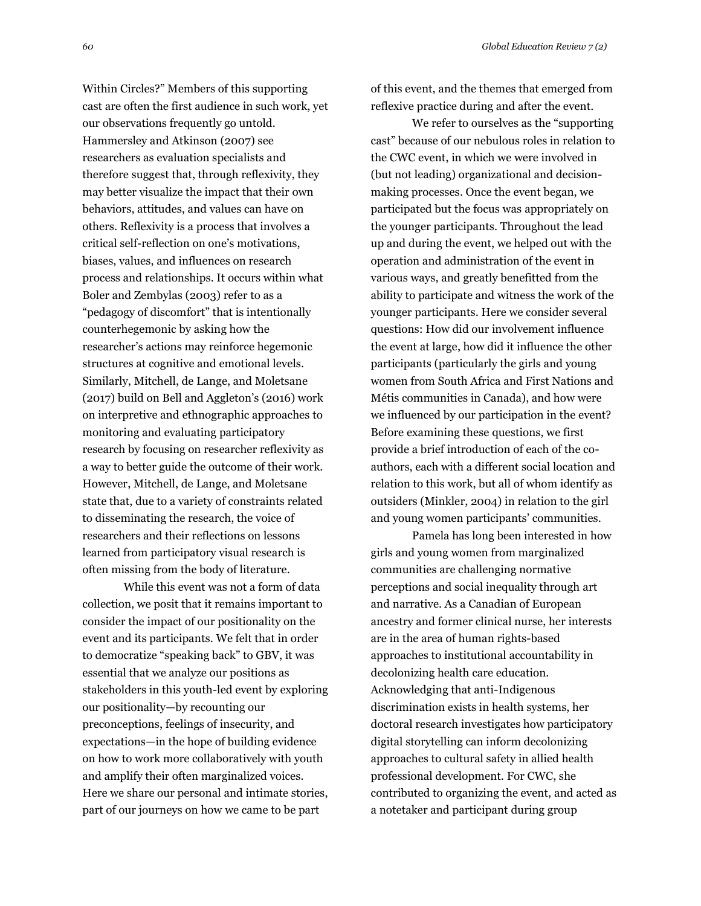Within Circles?" Members of this supporting cast are often the first audience in such work, yet of this event, and the themes that emerged from reflexive practice during and after the event.

Hammersley and Atkinson (2007) see researchers as evaluation specialists and therefore suggest that, through reflexivity, they may better visualize the impact that their own behaviors, attitudes, and values can have on others. Reflexivity is a process that involves a critical self-reflection on one's motivations, biases, values, and influences on research process and relationships. It occurs within what Boler and Zembylas (2003) refer to as a "pedagogy of discomfort" that is intentionally counterhegemonic by asking how the researcher's actions may reinforce hegemonic structures at cognitive and emotional levels. Similarly, Mitchell, de Lange, and Moletsane (2017) build on Bell and Aggleton's (2016) work on interpretive and ethnographic approaches to monitoring and evaluating participatory research by focusing on researcher reflexivity as a way to better guide the outcome of their work. However, Mitchell, de Lange, and Moletsane state that, due to a variety of constraints related to disseminating the research, the voice of researchers and their reflections on lessons learned from participatory visual research is often missing from the body of literature.

our observations frequently go untold.

While this event was not a form of data collection, we posit that it remains important to consider the impact of our positionality on the event and its participants. We felt that in order to democratize "speaking back" to GBV, it was essential that we analyze our positions as stakeholders in this youth-led event by exploring our positionality—by recounting our preconceptions, feelings of insecurity, and expectations—in the hope of building evidence on how to work more collaboratively with youth and amplify their often marginalized voices. Here we share our personal and intimate stories, part of our journeys on how we came to be part

We refer to ourselves as the "supporting cast" because of our nebulous roles in relation to the CWC event, in which we were involved in (but not leading) organizational and decisionmaking processes. Once the event began, we participated but the focus was appropriately on the younger participants. Throughout the lead up and during the event, we helped out with the operation and administration of the event in various ways, and greatly benefitted from the ability to participate and witness the work of the younger participants. Here we consider several questions: How did our involvement influence the event at large, how did it influence the other participants (particularly the girls and young women from South Africa and First Nations and Métis communities in Canada), and how were we influenced by our participation in the event? Before examining these questions, we first provide a brief introduction of each of the coauthors, each with a different social location and relation to this work, but all of whom identify as outsiders (Minkler, 2004) in relation to the girl

Pamela has long been interested in how girls and young women from marginalized communities are challenging normative perceptions and social inequality through art and narrative. As a Canadian of European ancestry and former clinical nurse, her interests are in the area of human rights-based approaches to institutional accountability in decolonizing health care education. Acknowledging that anti-Indigenous discrimination exists in health systems, her doctoral research investigates how participatory digital storytelling can inform decolonizing approaches to cultural safety in allied health professional development. For CWC, she contributed to organizing the event, and acted as a notetaker and participant during group

and young women participants' communities.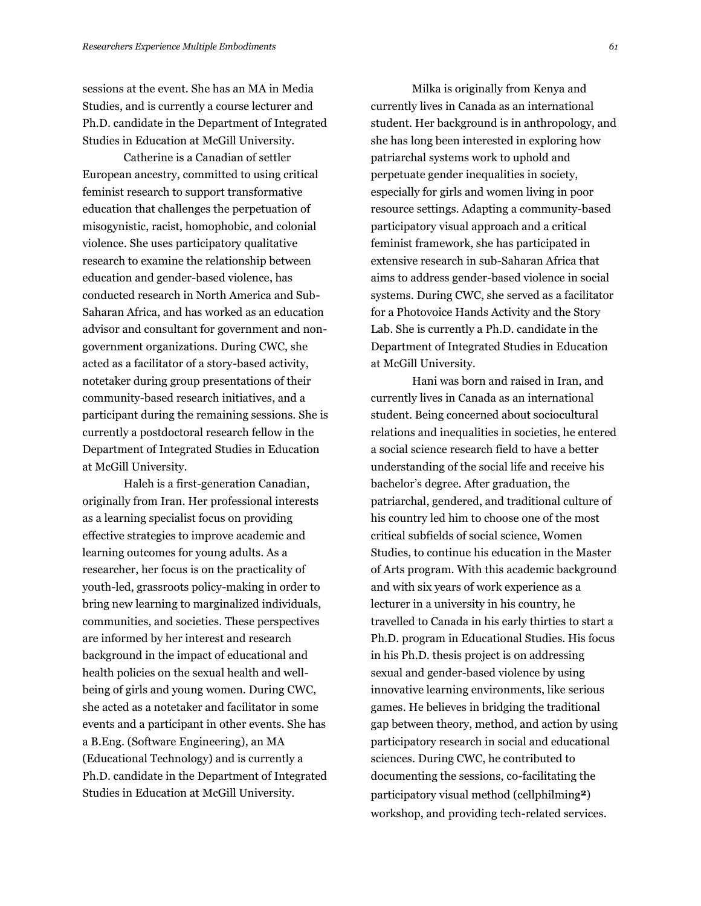sessions at the event. She has an MA in Media Studies, and is currently a course lecturer and Ph.D. candidate in the Department of Integrated Studies in Education at McGill University.

Catherine is a Canadian of settler European ancestry, committed to using critical feminist research to support transformative education that challenges the perpetuation of misogynistic, racist, homophobic, and colonial violence. She uses participatory qualitative research to examine the relationship between education and gender-based violence, has conducted research in North America and Sub-Saharan Africa, and has worked as an education advisor and consultant for government and nongovernment organizations. During CWC, she acted as a facilitator of a story-based activity, notetaker during group presentations of their community-based research initiatives, and a participant during the remaining sessions. She is currently a postdoctoral research fellow in the Department of Integrated Studies in Education at McGill University.

Haleh is a first-generation Canadian, originally from Iran. Her professional interests as a learning specialist focus on providing effective strategies to improve academic and learning outcomes for young adults. As a researcher, her focus is on the practicality of youth-led, grassroots policy-making in order to bring new learning to marginalized individuals, communities, and societies. These perspectives are informed by her interest and research background in the impact of educational and health policies on the sexual health and wellbeing of girls and young women. During CWC, she acted as a notetaker and facilitator in some events and a participant in other events. She has a B.Eng. (Software Engineering), an MA (Educational Technology) and is currently a Ph.D. candidate in the Department of Integrated Studies in Education at McGill University.

Milka is originally from Kenya and currently lives in Canada as an international student. Her background is in anthropology, and she has long been interested in exploring how patriarchal systems work to uphold and perpetuate gender inequalities in society, especially for girls and women living in poor resource settings. Adapting a community-based participatory visual approach and a critical feminist framework, she has participated in extensive research in sub-Saharan Africa that aims to address gender-based violence in social systems. During CWC, she served as a facilitator for a Photovoice Hands Activity and the Story Lab. She is currently a Ph.D. candidate in the Department of Integrated Studies in Education at McGill University.

Hani was born and raised in Iran, and currently lives in Canada as an international student. Being concerned about sociocultural relations and inequalities in societies, he entered a social science research field to have a better understanding of the social life and receive his bachelor's degree. After graduation, the patriarchal, gendered, and traditional culture of his country led him to choose one of the most critical subfields of social science, Women Studies, to continue his education in the Master of Arts program. With this academic background and with six years of work experience as a lecturer in a university in his country, he travelled to Canada in his early thirties to start a Ph.D. program in Educational Studies. His focus in his Ph.D. thesis project is on addressing sexual and gender-based violence by using innovative learning environments, like serious games. He believes in bridging the traditional gap between theory, method, and action by using participatory research in social and educational sciences. During CWC, he contributed to documenting the sessions, co-facilitating the participatory visual method (cellphilming**2**) workshop, and providing tech-related services.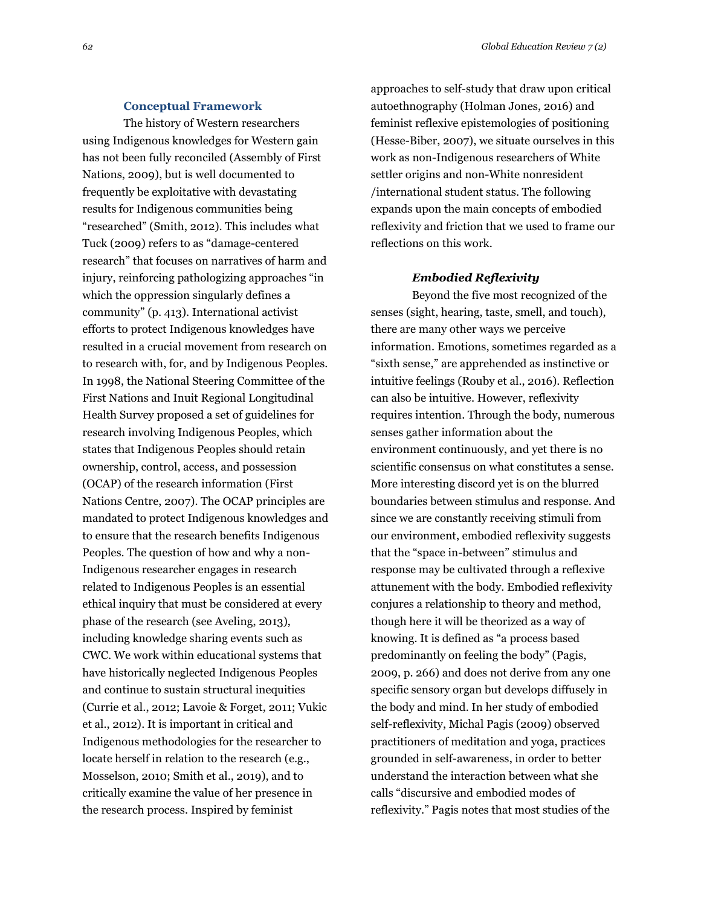#### **Conceptual Framework**

The history of Western researchers using Indigenous knowledges for Western gain has not been fully reconciled (Assembly of First Nations, 2009), but is well documented to frequently be exploitative with devastating results for Indigenous communities being "researched" (Smith, 2012). This includes what Tuck (2009) refers to as "damage-centered research" that focuses on narratives of harm and injury, reinforcing pathologizing approaches "in which the oppression singularly defines a community" (p. 413). International activist efforts to protect Indigenous knowledges have resulted in a crucial movement from research on to research with, for, and by Indigenous Peoples. In 1998, the National Steering Committee of the First Nations and Inuit Regional Longitudinal Health Survey proposed a set of guidelines for research involving Indigenous Peoples, which states that Indigenous Peoples should retain ownership, control, access, and possession (OCAP) of the research information (First Nations Centre, 2007). The OCAP principles are mandated to protect Indigenous knowledges and to ensure that the research benefits Indigenous Peoples. The question of how and why a non-Indigenous researcher engages in research related to Indigenous Peoples is an essential ethical inquiry that must be considered at every phase of the research (see Aveling, 2013), including knowledge sharing events such as CWC. We work within educational systems that have historically neglected Indigenous Peoples and continue to sustain structural inequities (Currie et al., 2012; Lavoie & Forget, 2011; Vukic et al., 2012). It is important in critical and Indigenous methodologies for the researcher to locate herself in relation to the research (e.g., Mosselson, 2010; Smith et al., 2019), and to critically examine the value of her presence in the research process. Inspired by feminist

approaches to self-study that draw upon critical autoethnography (Holman Jones, 2016) and feminist reflexive epistemologies of positioning (Hesse-Biber, 2007), we situate ourselves in this work as non-Indigenous researchers of White settler origins and non-White nonresident /international student status. The following expands upon the main concepts of embodied reflexivity and friction that we used to frame our reflections on this work.

## *Embodied Reflexivity*

Beyond the five most recognized of the senses (sight, hearing, taste, smell, and touch), there are many other ways we perceive information. Emotions, sometimes regarded as a "sixth sense," are apprehended as instinctive or intuitive feelings (Rouby et al., 2016). Reflection can also be intuitive. However, reflexivity requires intention. Through the body, numerous senses gather information about the environment continuously, and yet there is no scientific consensus on what constitutes a sense. More interesting discord yet is on the blurred boundaries between stimulus and response. And since we are constantly receiving stimuli from our environment, embodied reflexivity suggests that the "space in-between" stimulus and response may be cultivated through a reflexive attunement with the body. Embodied reflexivity conjures a relationship to theory and method, though here it will be theorized as a way of knowing. It is defined as "a process based predominantly on feeling the body" (Pagis, 2009, p. 266) and does not derive from any one specific sensory organ but develops diffusely in the body and mind. In her study of embodied self-reflexivity, Michal Pagis (2009) observed practitioners of meditation and yoga, practices grounded in self-awareness, in order to better understand the interaction between what she calls "discursive and embodied modes of reflexivity." Pagis notes that most studies of the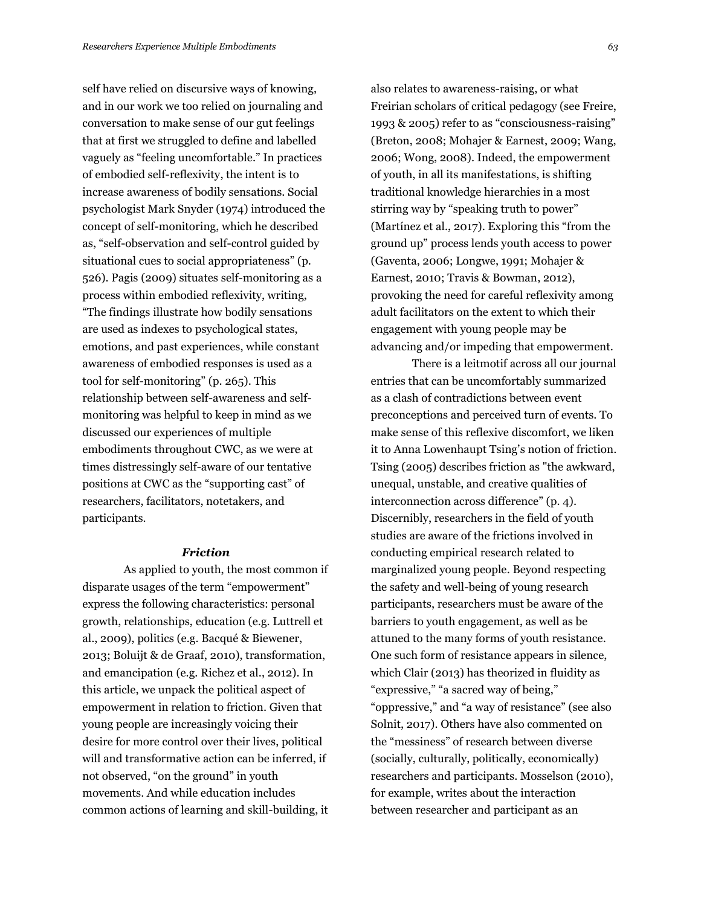self have relied on discursive ways of knowing, and in our work we too relied on journaling and conversation to make sense of our gut feelings that at first we struggled to define and labelled vaguely as "feeling uncomfortable." In practices of embodied self-reflexivity, the intent is to increase awareness of bodily sensations. Social psychologist Mark Snyder (1974) introduced the concept of self-monitoring, which he described as, "self-observation and self-control guided by situational cues to social appropriateness" (p. 526). Pagis (2009) situates self-monitoring as a process within embodied reflexivity, writing, "The findings illustrate how bodily sensations are used as indexes to psychological states, emotions, and past experiences, while constant awareness of embodied responses is used as a tool for self-monitoring" (p. 265). This relationship between self-awareness and selfmonitoring was helpful to keep in mind as we discussed our experiences of multiple embodiments throughout CWC, as we were at times distressingly self-aware of our tentative positions at CWC as the "supporting cast" of researchers, facilitators, notetakers, and participants.

### *Friction*

As applied to youth, the most common if disparate usages of the term "empowerment" express the following characteristics: personal growth, relationships, education (e.g. Luttrell et al., 2009), politics (e.g. Bacqué & Biewener, 2013; Boluijt & de Graaf, 2010), transformation, and emancipation (e.g. Richez et al., 2012). In this article, we unpack the political aspect of empowerment in relation to friction. Given that young people are increasingly voicing their desire for more control over their lives, political will and transformative action can be inferred, if not observed, "on the ground" in youth movements. And while education includes common actions of learning and skill-building, it also relates to awareness-raising, or what Freirian scholars of critical pedagogy (see Freire, 1993 & 2005) refer to as "consciousness-raising" (Breton, 2008; Mohajer & Earnest, 2009; Wang, 2006; Wong, 2008). Indeed, the empowerment of youth, in all its manifestations, is shifting traditional knowledge hierarchies in a most stirring way by "speaking truth to power" (Martínez et al., 2017). Exploring this "from the ground up" process lends youth access to power (Gaventa, 2006; Longwe, 1991; Mohajer & Earnest, 2010; Travis & Bowman, 2012), provoking the need for careful reflexivity among adult facilitators on the extent to which their engagement with young people may be advancing and/or impeding that empowerment.

There is a leitmotif across all our journal entries that can be uncomfortably summarized as a clash of contradictions between event preconceptions and perceived turn of events. To make sense of this reflexive discomfort, we liken it to Anna Lowenhaupt Tsing's notion of friction. Tsing (2005) describes friction as "the awkward, unequal, unstable, and creative qualities of interconnection across difference" (p. 4). Discernibly, researchers in the field of youth studies are aware of the frictions involved in conducting empirical research related to marginalized young people. Beyond respecting the safety and well-being of young research participants, researchers must be aware of the barriers to youth engagement, as well as be attuned to the many forms of youth resistance. One such form of resistance appears in silence, which Clair (2013) has theorized in fluidity as "expressive," "a sacred way of being," "oppressive," and "a way of resistance" (see also Solnit, 2017). Others have also commented on the "messiness" of research between diverse (socially, culturally, politically, economically) researchers and participants. Mosselson (2010), for example, writes about the interaction between researcher and participant as an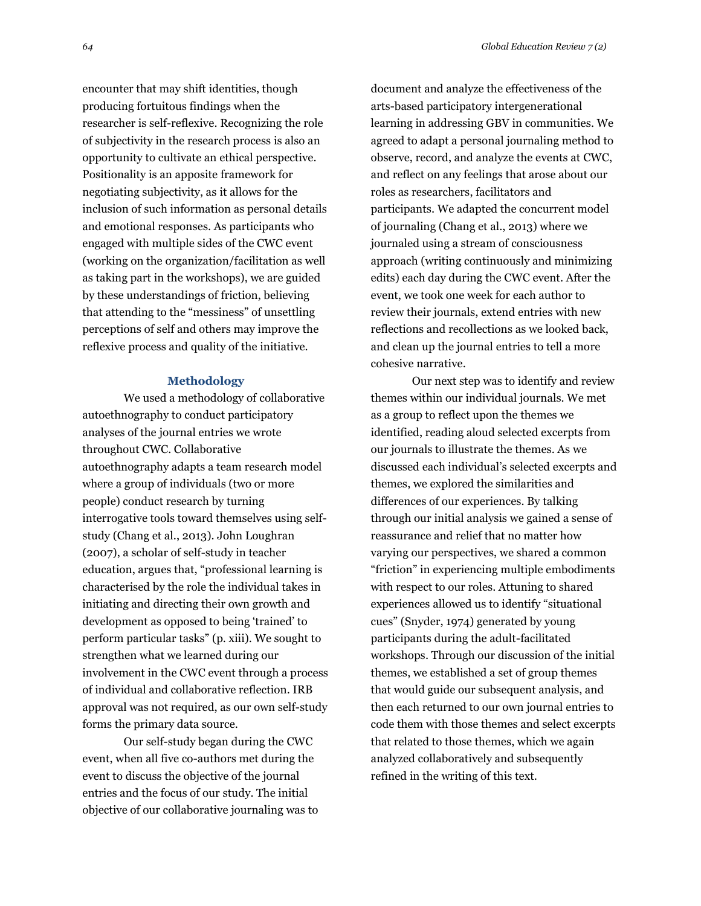encounter that may shift identities, though producing fortuitous findings when the researcher is self-reflexive. Recognizing the role of subjectivity in the research process is also an opportunity to cultivate an ethical perspective. Positionality is an apposite framework for negotiating subjectivity, as it allows for the inclusion of such information as personal details and emotional responses. As participants who engaged with multiple sides of the CWC event (working on the organization/facilitation as well as taking part in the workshops), we are guided by these understandings of friction, believing that attending to the "messiness" of unsettling perceptions of self and others may improve the reflexive process and quality of the initiative.

#### **Methodology**

We used a methodology of collaborative autoethnography to conduct participatory analyses of the journal entries we wrote throughout CWC. Collaborative autoethnography adapts a team research model where a group of individuals (two or more people) conduct research by turning interrogative tools toward themselves using selfstudy (Chang et al., 2013). John Loughran (2007), a scholar of self-study in teacher education, argues that, "professional learning is characterised by the role the individual takes in initiating and directing their own growth and development as opposed to being 'trained' to perform particular tasks" (p. xiii). We sought to strengthen what we learned during our involvement in the CWC event through a process of individual and collaborative reflection. IRB approval was not required, as our own self-study forms the primary data source.

Our self-study began during the CWC event, when all five co-authors met during the event to discuss the objective of the journal entries and the focus of our study. The initial objective of our collaborative journaling was to

document and analyze the effectiveness of the arts-based participatory intergenerational learning in addressing GBV in communities. We agreed to adapt a personal journaling method to observe, record, and analyze the events at CWC, and reflect on any feelings that arose about our roles as researchers, facilitators and participants. We adapted the concurrent model of journaling (Chang et al., 2013) where we journaled using a stream of consciousness approach (writing continuously and minimizing edits) each day during the CWC event. After the event, we took one week for each author to review their journals, extend entries with new reflections and recollections as we looked back, and clean up the journal entries to tell a more cohesive narrative.

Our next step was to identify and review themes within our individual journals. We met as a group to reflect upon the themes we identified, reading aloud selected excerpts from our journals to illustrate the themes. As we discussed each individual's selected excerpts and themes, we explored the similarities and differences of our experiences. By talking through our initial analysis we gained a sense of reassurance and relief that no matter how varying our perspectives, we shared a common "friction" in experiencing multiple embodiments with respect to our roles. Attuning to shared experiences allowed us to identify "situational cues" (Snyder, 1974) generated by young participants during the adult-facilitated workshops. Through our discussion of the initial themes, we established a set of group themes that would guide our subsequent analysis, and then each returned to our own journal entries to code them with those themes and select excerpts that related to those themes, which we again analyzed collaboratively and subsequently refined in the writing of this text.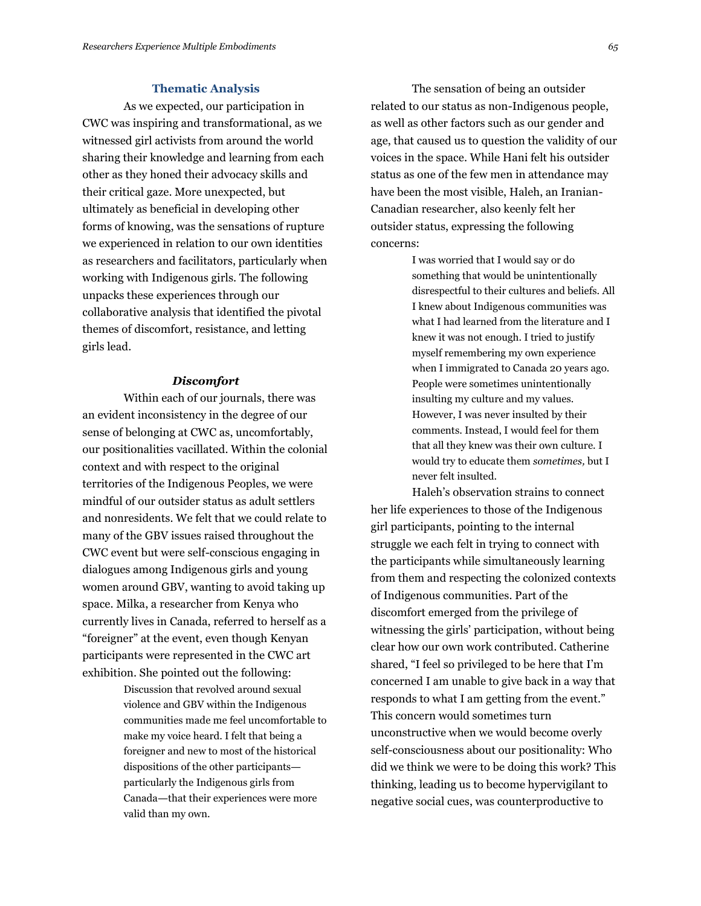## **Thematic Analysis**

As we expected, our participation in CWC was inspiring and transformational, as we witnessed girl activists from around the world sharing their knowledge and learning from each other as they honed their advocacy skills and their critical gaze. More unexpected, but ultimately as beneficial in developing other forms of knowing, was the sensations of rupture we experienced in relation to our own identities as researchers and facilitators, particularly when working with Indigenous girls. The following unpacks these experiences through our collaborative analysis that identified the pivotal themes of discomfort, resistance, and letting girls lead.

## *Discomfort*

Within each of our journals, there was an evident inconsistency in the degree of our sense of belonging at CWC as, uncomfortably, our positionalities vacillated. Within the colonial context and with respect to the original territories of the Indigenous Peoples, we were mindful of our outsider status as adult settlers and nonresidents. We felt that we could relate to many of the GBV issues raised throughout the CWC event but were self-conscious engaging in dialogues among Indigenous girls and young women around GBV, wanting to avoid taking up space. Milka, a researcher from Kenya who currently lives in Canada, referred to herself as a "foreigner" at the event, even though Kenyan participants were represented in the CWC art exhibition. She pointed out the following:

> Discussion that revolved around sexual violence and GBV within the Indigenous communities made me feel uncomfortable to make my voice heard. I felt that being a foreigner and new to most of the historical dispositions of the other participants particularly the Indigenous girls from Canada—that their experiences were more valid than my own.

The sensation of being an outsider related to our status as non-Indigenous people, as well as other factors such as our gender and age, that caused us to question the validity of our voices in the space. While Hani felt his outsider status as one of the few men in attendance may have been the most visible, Haleh, an Iranian-Canadian researcher, also keenly felt her outsider status, expressing the following concerns:

> I was worried that I would say or do something that would be unintentionally disrespectful to their cultures and beliefs. All I knew about Indigenous communities was what I had learned from the literature and I knew it was not enough. I tried to justify myself remembering my own experience when I immigrated to Canada 20 years ago. People were sometimes unintentionally insulting my culture and my values. However, I was never insulted by their comments. Instead, I would feel for them that all they knew was their own culture. I would try to educate them *sometimes,* but I never felt insulted.

Haleh's observation strains to connect her life experiences to those of the Indigenous girl participants, pointing to the internal struggle we each felt in trying to connect with the participants while simultaneously learning from them and respecting the colonized contexts of Indigenous communities. Part of the discomfort emerged from the privilege of witnessing the girls' participation, without being clear how our own work contributed. Catherine shared, "I feel so privileged to be here that I'm concerned I am unable to give back in a way that responds to what I am getting from the event." This concern would sometimes turn unconstructive when we would become overly self-consciousness about our positionality: Who did we think we were to be doing this work? This thinking, leading us to become hypervigilant to negative social cues, was counterproductive to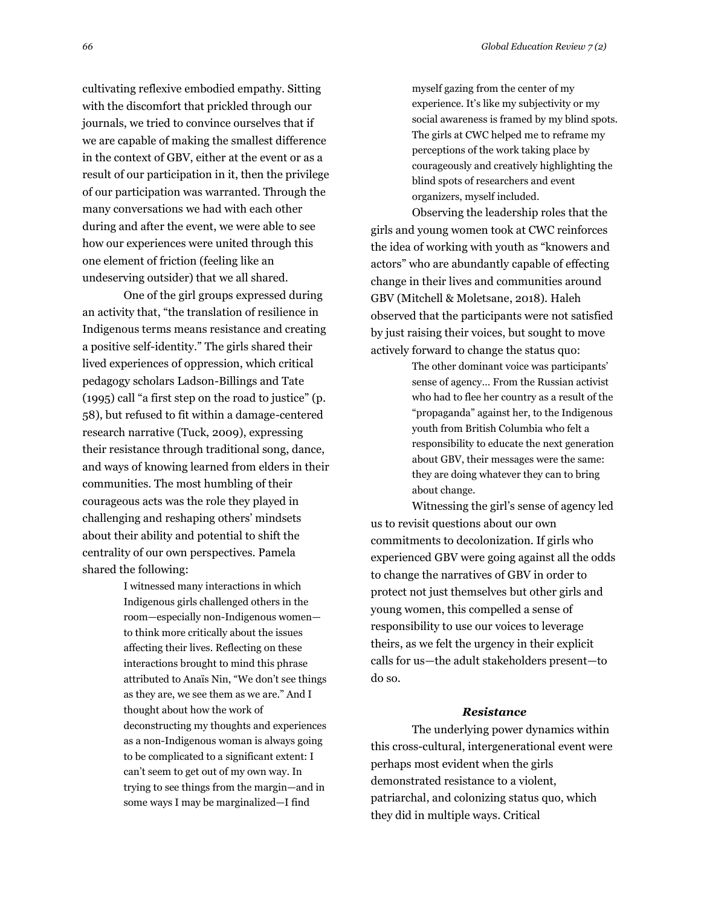cultivating reflexive embodied empathy. Sitting with the discomfort that prickled through our journals, we tried to convince ourselves that if we are capable of making the smallest difference in the context of GBV, either at the event or as a result of our participation in it, then the privilege of our participation was warranted. Through the many conversations we had with each other during and after the event, we were able to see how our experiences were united through this one element of friction (feeling like an undeserving outsider) that we all shared.

One of the girl groups expressed during an activity that, "the translation of resilience in Indigenous terms means resistance and creating a positive self-identity." The girls shared their lived experiences of oppression, which critical pedagogy scholars Ladson-Billings and Tate (1995) call "a first step on the road to justice" (p. 58), but refused to fit within a damage-centered research narrative (Tuck, 2009), expressing their resistance through traditional song, dance, and ways of knowing learned from elders in their communities. The most humbling of their courageous acts was the role they played in challenging and reshaping others' mindsets about their ability and potential to shift the centrality of our own perspectives. Pamela shared the following:

> I witnessed many interactions in which Indigenous girls challenged others in the room—especially non-Indigenous women to think more critically about the issues affecting their lives. Reflecting on these interactions brought to mind this phrase attributed to Anaïs Nin, "We don't see things as they are, we see them as we are." And I thought about how the work of deconstructing my thoughts and experiences as a non-Indigenous woman is always going to be complicated to a significant extent: I can't seem to get out of my own way. In trying to see things from the margin—and in some ways I may be marginalized—I find

myself gazing from the center of my experience. It's like my subjectivity or my social awareness is framed by my blind spots. The girls at CWC helped me to reframe my perceptions of the work taking place by courageously and creatively highlighting the blind spots of researchers and event organizers, myself included.

Observing the leadership roles that the girls and young women took at CWC reinforces the idea of working with youth as "knowers and actors" who are abundantly capable of effecting change in their lives and communities around GBV (Mitchell & Moletsane, 2018). Haleh observed that the participants were not satisfied by just raising their voices, but sought to move actively forward to change the status quo:

> The other dominant voice was participants' sense of agency… From the Russian activist who had to flee her country as a result of the "propaganda" against her, to the Indigenous youth from British Columbia who felt a responsibility to educate the next generation about GBV, their messages were the same: they are doing whatever they can to bring about change.

Witnessing the girl's sense of agency led us to revisit questions about our own commitments to decolonization. If girls who experienced GBV were going against all the odds to change the narratives of GBV in order to protect not just themselves but other girls and young women, this compelled a sense of responsibility to use our voices to leverage theirs, as we felt the urgency in their explicit calls for us—the adult stakeholders present—to do so.

#### *Resistance*

The underlying power dynamics within this cross-cultural, intergenerational event were perhaps most evident when the girls demonstrated resistance to a violent, patriarchal, and colonizing status quo, which they did in multiple ways. Critical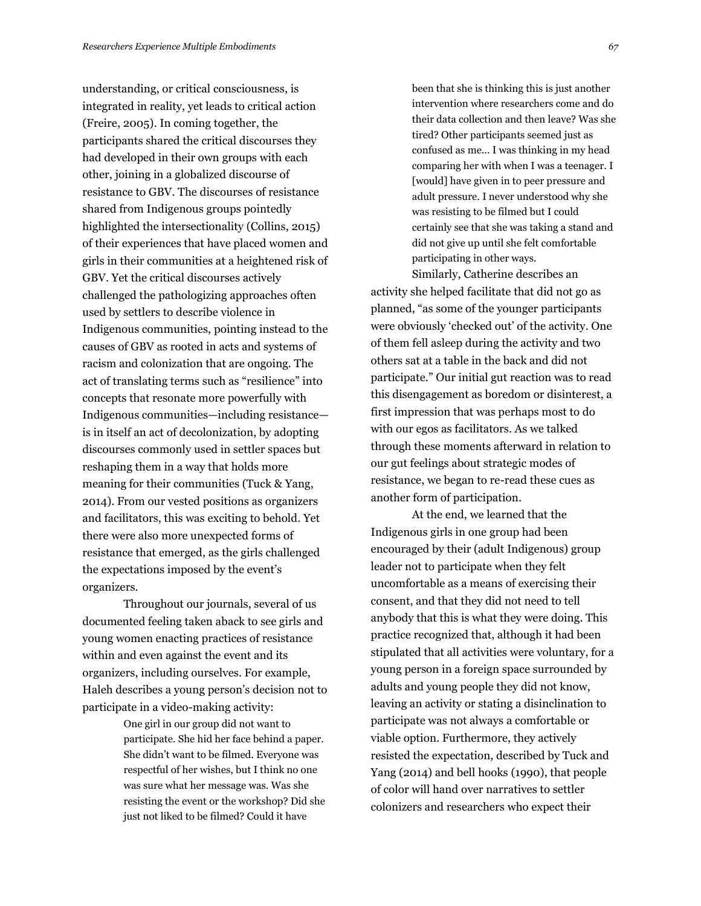understanding, or critical consciousness, is integrated in reality, yet leads to critical action (Freire, 2005). In coming together, the participants shared the critical discourses they had developed in their own groups with each other, joining in a globalized discourse of resistance to GBV. The discourses of resistance shared from Indigenous groups pointedly highlighted the intersectionality (Collins, 2015) of their experiences that have placed women and girls in their communities at a heightened risk of GBV. Yet the critical discourses actively challenged the pathologizing approaches often used by settlers to describe violence in Indigenous communities, pointing instead to the causes of GBV as rooted in acts and systems of racism and colonization that are ongoing. The act of translating terms such as "resilience" into concepts that resonate more powerfully with Indigenous communities—including resistance is in itself an act of decolonization, by adopting discourses commonly used in settler spaces but reshaping them in a way that holds more meaning for their communities (Tuck & Yang, 2014). From our vested positions as organizers and facilitators, this was exciting to behold. Yet there were also more unexpected forms of resistance that emerged, as the girls challenged the expectations imposed by the event's organizers.

Throughout our journals, several of us documented feeling taken aback to see girls and young women enacting practices of resistance within and even against the event and its organizers, including ourselves. For example, Haleh describes a young person's decision not to participate in a video-making activity:

> One girl in our group did not want to participate. She hid her face behind a paper. She didn't want to be filmed. Everyone was respectful of her wishes, but I think no one was sure what her message was. Was she resisting the event or the workshop? Did she just not liked to be filmed? Could it have

been that she is thinking this is just another intervention where researchers come and do their data collection and then leave? Was she tired? Other participants seemed just as confused as me... I was thinking in my head comparing her with when I was a teenager. I [would] have given in to peer pressure and adult pressure. I never understood why she was resisting to be filmed but I could certainly see that she was taking a stand and did not give up until she felt comfortable participating in other ways.

Similarly, Catherine describes an activity she helped facilitate that did not go as planned, "as some of the younger participants were obviously 'checked out' of the activity. One of them fell asleep during the activity and two others sat at a table in the back and did not participate." Our initial gut reaction was to read this disengagement as boredom or disinterest, a first impression that was perhaps most to do with our egos as facilitators. As we talked through these moments afterward in relation to our gut feelings about strategic modes of resistance, we began to re-read these cues as another form of participation.

At the end, we learned that the Indigenous girls in one group had been encouraged by their (adult Indigenous) group leader not to participate when they felt uncomfortable as a means of exercising their consent, and that they did not need to tell anybody that this is what they were doing. This practice recognized that, although it had been stipulated that all activities were voluntary, for a young person in a foreign space surrounded by adults and young people they did not know, leaving an activity or stating a disinclination to participate was not always a comfortable or viable option. Furthermore, they actively resisted the expectation, described by Tuck and Yang (2014) and bell hooks (1990), that people of color will hand over narratives to settler colonizers and researchers who expect their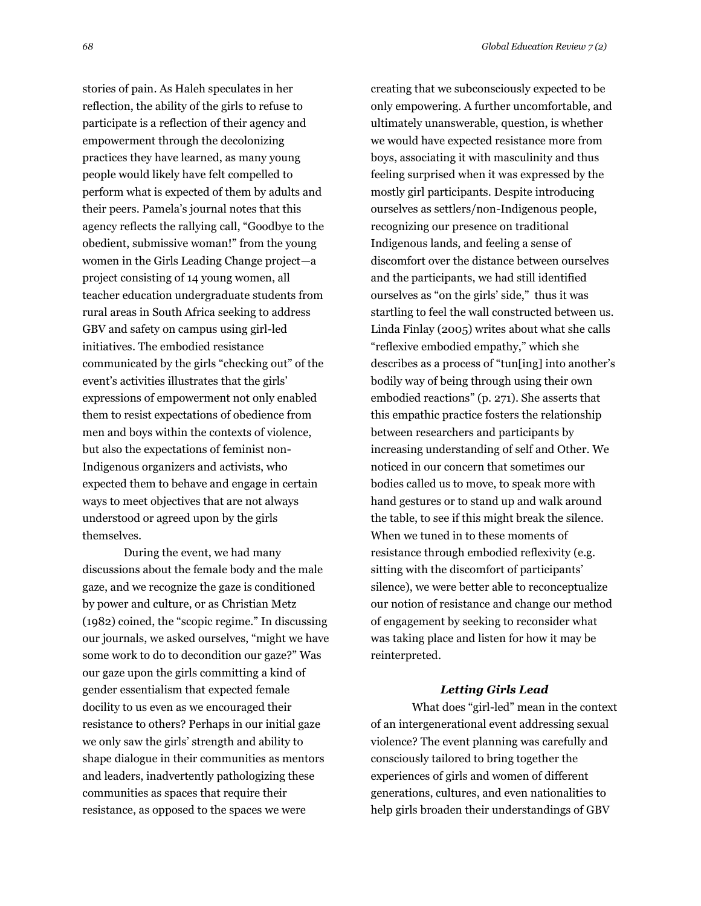stories of pain. As Haleh speculates in her reflection, the ability of the girls to refuse to participate is a reflection of their agency and empowerment through the decolonizing practices they have learned, as many young people would likely have felt compelled to perform what is expected of them by adults and their peers. Pamela's journal notes that this agency reflects the rallying call, "Goodbye to the obedient, submissive woman!" from the young women in the Girls Leading Change project—a project consisting of 14 young women, all teacher education undergraduate students from rural areas in South Africa seeking to address GBV and safety on campus using girl-led initiatives. The embodied resistance communicated by the girls "checking out" of the event's activities illustrates that the girls' expressions of empowerment not only enabled them to resist expectations of obedience from men and boys within the contexts of violence, but also the expectations of feminist non-Indigenous organizers and activists, who expected them to behave and engage in certain ways to meet objectives that are not always understood or agreed upon by the girls themselves.

During the event, we had many discussions about the female body and the male gaze, and we recognize the gaze is conditioned by power and culture, or as Christian Metz (1982) coined, the "scopic regime." In discussing our journals, we asked ourselves, "might we have some work to do to decondition our gaze?" Was our gaze upon the girls committing a kind of gender essentialism that expected female docility to us even as we encouraged their resistance to others? Perhaps in our initial gaze we only saw the girls' strength and ability to shape dialogue in their communities as mentors and leaders, inadvertently pathologizing these communities as spaces that require their resistance, as opposed to the spaces we were

creating that we subconsciously expected to be only empowering. A further uncomfortable, and ultimately unanswerable, question, is whether we would have expected resistance more from boys, associating it with masculinity and thus feeling surprised when it was expressed by the mostly girl participants. Despite introducing ourselves as settlers/non-Indigenous people, recognizing our presence on traditional Indigenous lands, and feeling a sense of discomfort over the distance between ourselves and the participants, we had still identified ourselves as "on the girls' side," thus it was startling to feel the wall constructed between us. Linda Finlay (2005) writes about what she calls "reflexive embodied empathy," which she describes as a process of "tun[ing] into another's bodily way of being through using their own embodied reactions" (p. 271). She asserts that this empathic practice fosters the relationship between researchers and participants by increasing understanding of self and Other. We noticed in our concern that sometimes our bodies called us to move, to speak more with hand gestures or to stand up and walk around the table, to see if this might break the silence. When we tuned in to these moments of resistance through embodied reflexivity (e.g. sitting with the discomfort of participants' silence), we were better able to reconceptualize our notion of resistance and change our method of engagement by seeking to reconsider what was taking place and listen for how it may be reinterpreted.

#### *Letting Girls Lead*

What does "girl-led" mean in the context of an intergenerational event addressing sexual violence? The event planning was carefully and consciously tailored to bring together the experiences of girls and women of different generations, cultures, and even nationalities to help girls broaden their understandings of GBV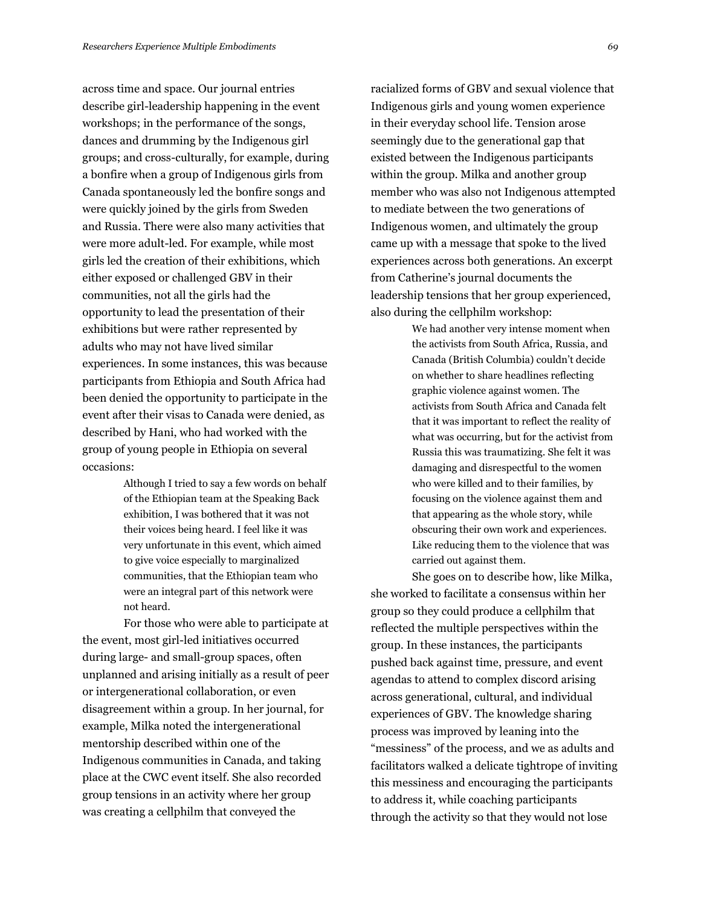across time and space. Our journal entries describe girl-leadership happening in the event workshops; in the performance of the songs, dances and drumming by the Indigenous girl groups; and cross-culturally, for example, during a bonfire when a group of Indigenous girls from Canada spontaneously led the bonfire songs and were quickly joined by the girls from Sweden and Russia. There were also many activities that were more adult-led. For example, while most girls led the creation of their exhibitions, which either exposed or challenged GBV in their communities, not all the girls had the opportunity to lead the presentation of their exhibitions but were rather represented by adults who may not have lived similar experiences. In some instances, this was because participants from Ethiopia and South Africa had been denied the opportunity to participate in the event after their visas to Canada were denied, as described by Hani, who had worked with the group of young people in Ethiopia on several occasions:

> Although I tried to say a few words on behalf of the Ethiopian team at the Speaking Back exhibition, I was bothered that it was not their voices being heard. I feel like it was very unfortunate in this event, which aimed to give voice especially to marginalized communities, that the Ethiopian team who were an integral part of this network were not heard.

For those who were able to participate at the event, most girl-led initiatives occurred during large- and small-group spaces, often unplanned and arising initially as a result of peer or intergenerational collaboration, or even disagreement within a group. In her journal, for example, Milka noted the intergenerational mentorship described within one of the Indigenous communities in Canada, and taking place at the CWC event itself. She also recorded group tensions in an activity where her group was creating a cellphilm that conveyed the

racialized forms of GBV and sexual violence that Indigenous girls and young women experience in their everyday school life. Tension arose seemingly due to the generational gap that existed between the Indigenous participants within the group. Milka and another group member who was also not Indigenous attempted to mediate between the two generations of Indigenous women, and ultimately the group came up with a message that spoke to the lived experiences across both generations. An excerpt from Catherine's journal documents the leadership tensions that her group experienced, also during the cellphilm workshop:

> We had another very intense moment when the activists from South Africa, Russia, and Canada (British Columbia) couldn't decide on whether to share headlines reflecting graphic violence against women. The activists from South Africa and Canada felt that it was important to reflect the reality of what was occurring, but for the activist from Russia this was traumatizing. She felt it was damaging and disrespectful to the women who were killed and to their families, by focusing on the violence against them and that appearing as the whole story, while obscuring their own work and experiences. Like reducing them to the violence that was carried out against them.

She goes on to describe how, like Milka, she worked to facilitate a consensus within her group so they could produce a cellphilm that reflected the multiple perspectives within the group. In these instances, the participants pushed back against time, pressure, and event agendas to attend to complex discord arising across generational, cultural, and individual experiences of GBV. The knowledge sharing process was improved by leaning into the "messiness" of the process, and we as adults and facilitators walked a delicate tightrope of inviting this messiness and encouraging the participants to address it, while coaching participants through the activity so that they would not lose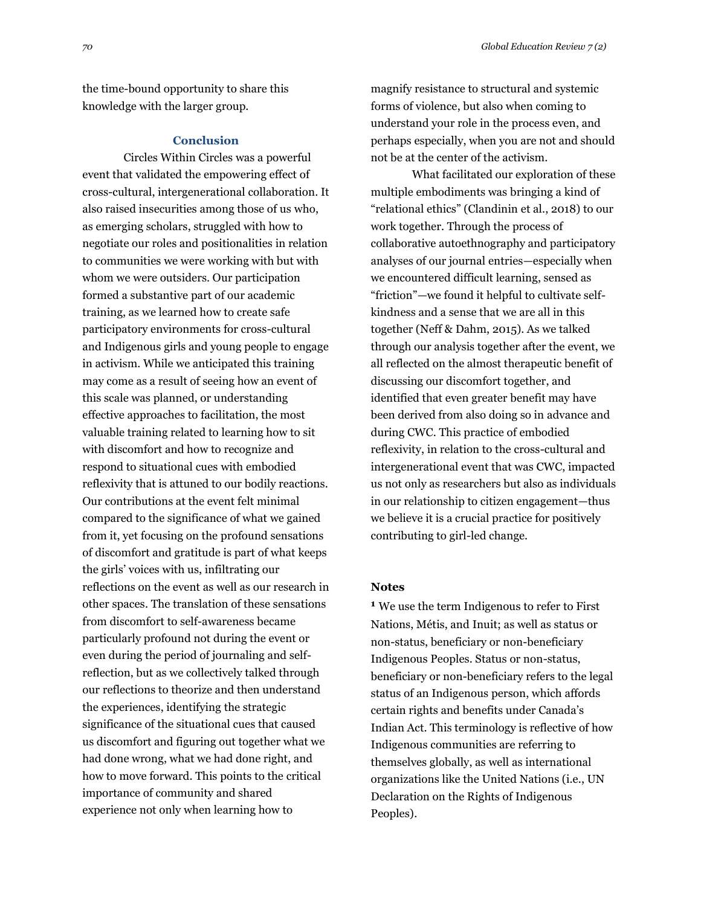the time-bound opportunity to share this knowledge with the larger group.

## **Conclusion**

Circles Within Circles was a powerful event that validated the empowering effect of cross-cultural, intergenerational collaboration. It also raised insecurities among those of us who, as emerging scholars, struggled with how to negotiate our roles and positionalities in relation to communities we were working with but with whom we were outsiders. Our participation formed a substantive part of our academic training, as we learned how to create safe participatory environments for cross-cultural and Indigenous girls and young people to engage in activism. While we anticipated this training may come as a result of seeing how an event of this scale was planned, or understanding effective approaches to facilitation, the most valuable training related to learning how to sit with discomfort and how to recognize and respond to situational cues with embodied reflexivity that is attuned to our bodily reactions. Our contributions at the event felt minimal compared to the significance of what we gained from it, yet focusing on the profound sensations of discomfort and gratitude is part of what keeps the girls' voices with us, infiltrating our reflections on the event as well as our research in other spaces. The translation of these sensations from discomfort to self-awareness became particularly profound not during the event or even during the period of journaling and selfreflection, but as we collectively talked through our reflections to theorize and then understand the experiences, identifying the strategic significance of the situational cues that caused us discomfort and figuring out together what we had done wrong, what we had done right, and how to move forward. This points to the critical importance of community and shared experience not only when learning how to

magnify resistance to structural and systemic forms of violence, but also when coming to understand your role in the process even, and perhaps especially, when you are not and should not be at the center of the activism.

What facilitated our exploration of these multiple embodiments was bringing a kind of "relational ethics" (Clandinin et al., 2018) to our work together. Through the process of collaborative autoethnography and participatory analyses of our journal entries—especially when we encountered difficult learning, sensed as "friction"—we found it helpful to cultivate selfkindness and a sense that we are all in this together (Neff & Dahm, 2015). As we talked through our analysis together after the event, we all reflected on the almost therapeutic benefit of discussing our discomfort together, and identified that even greater benefit may have been derived from also doing so in advance and during CWC. This practice of embodied reflexivity, in relation to the cross-cultural and intergenerational event that was CWC, impacted us not only as researchers but also as individuals in our relationship to citizen engagement—thus we believe it is a crucial practice for positively contributing to girl-led change.

## **Notes**

**1** We use the term Indigenous to refer to First Nations, Métis, and Inuit; as well as status or non-status, beneficiary or non-beneficiary Indigenous Peoples. Status or non-status, beneficiary or non-beneficiary refers to the legal status of an Indigenous person, which affords certain rights and benefits under Canada's Indian Act. This terminology is reflective of how Indigenous communities are referring to themselves globally, as well as international organizations like the United Nations (i.e., UN Declaration on the Rights of Indigenous Peoples).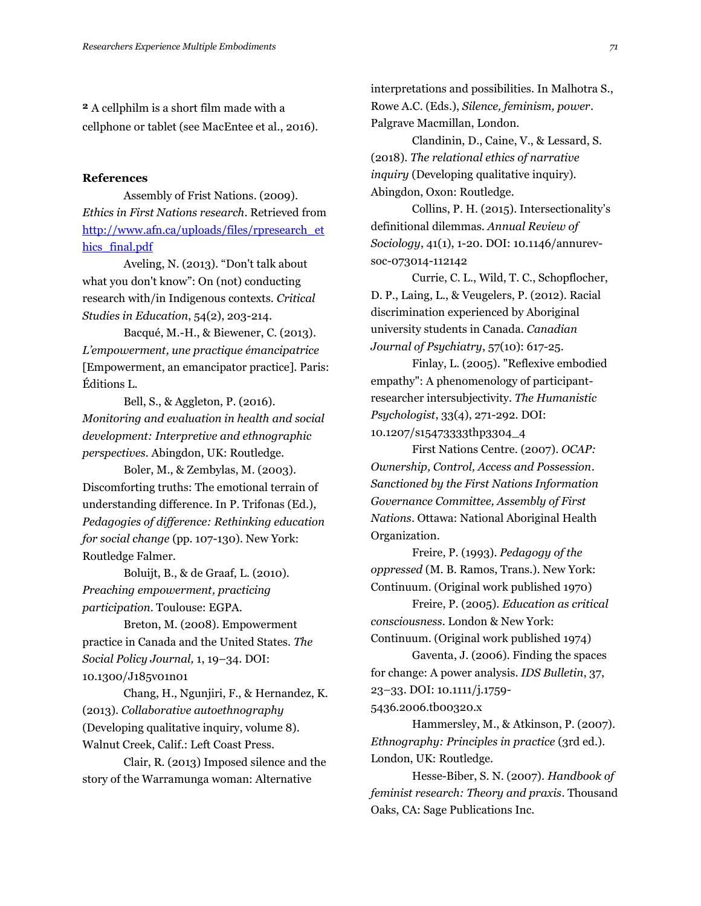**2** A cellphilm is a short film made with a cellphone or tablet (see MacEntee et al., 2016).

### **References**

Assembly of Frist Nations. (2009). *Ethics in First Nations research*. Retrieved from [http://www.afn.ca/uploads/files/rpresearch\\_et](http://www.afn.ca/uploads/files/rpresearch_ethics_final.pdf) hics final.pdf

Aveling, N. (2013). "Don't talk about what you don't know": On (not) conducting research with/in Indigenous contexts. *Critical Studies in Education*, 54(2), 203-214.

Bacqué, M.-H., & Biewener, C. (2013). *L'empowerment, une practique émancipatrice* [Empowerment, an emancipator practice]. Paris: Éditions L.

Bell, S., & Aggleton, P. (2016). *Monitoring and evaluation in health and social development: Interpretive and ethnographic perspectives*. Abingdon, UK: Routledge.

Boler, M., & Zembylas, M. (2003). Discomforting truths: The emotional terrain of understanding difference. In P. Trifonas (Ed.), *Pedagogies of difference: Rethinking education for social change* (pp. 107-130). New York: Routledge Falmer.

Boluijt, B., & de Graaf, L. (2010). *Preaching empowerment, practicing participation*. Toulouse: EGPA.

Breton, M. (2008). Empowerment practice in Canada and the United States. *The Social Policy Journal,* 1, 19–34. DOI: 10.1300/J185v01n01

Chang, H., Ngunjiri, F., & Hernandez, K. (2013). *Collaborative autoethnography* (Developing qualitative inquiry, volume 8). Walnut Creek, Calif.: Left Coast Press.

Clair, R. (2013) Imposed silence and the story of the Warramunga woman: Alternative

interpretations and possibilities. In Malhotra S., Rowe A.C. (Eds.), *Silence, feminism, power*. Palgrave Macmillan, London.

Clandinin, D., Caine, V., & Lessard, S. (2018). *The relational ethics of narrative inquiry* (Developing qualitative inquiry). Abingdon, Oxon: Routledge.

Collins, P. H. (2015). Intersectionality's definitional dilemmas. *Annual Review of Sociology*, 41(1), 1-20. DOI: 10.1146/annurevsoc-073014-112142

Currie, C. L., Wild, T. C., Schopflocher, D. P., Laing, L., & Veugelers, P. (2012). Racial discrimination experienced by Aboriginal university students in Canada. *Canadian Journal of Psychiatry*, 57(10): 617-25.

Finlay, L. (2005). "Reflexive embodied empathy": A phenomenology of participantresearcher intersubjectivity. *The Humanistic Psychologist*, 33(4), 271-292. DOI: 10.1207/s15473333thp3304\_4

First Nations Centre. (2007). *OCAP: Ownership, Control, Access and Possession*. *Sanctioned by the First Nations Information Governance Committee, Assembly of First Nations*. Ottawa: National Aboriginal Health Organization.

Freire, P. (1993). *Pedagogy of the oppressed* (M. B. Ramos, Trans.). New York: Continuum. (Original work published 1970)

Freire, P. (2005). *Education as critical consciousness*. London & New York: Continuum. (Original work published 1974)

Gaventa, J. (2006). Finding the spaces for change: A power analysis. *IDS Bulletin*, 37, 23–33. DOI: 10.1111/j.1759-

5436.2006.tb00320.x

Hammersley, M., & Atkinson, P. (2007). *Ethnography: Principles in practice* (3rd ed.). London, UK: Routledge.

Hesse-Biber, S. N. (2007). *Handbook of feminist research: Theory and praxis*. Thousand Oaks, CA: Sage Publications Inc.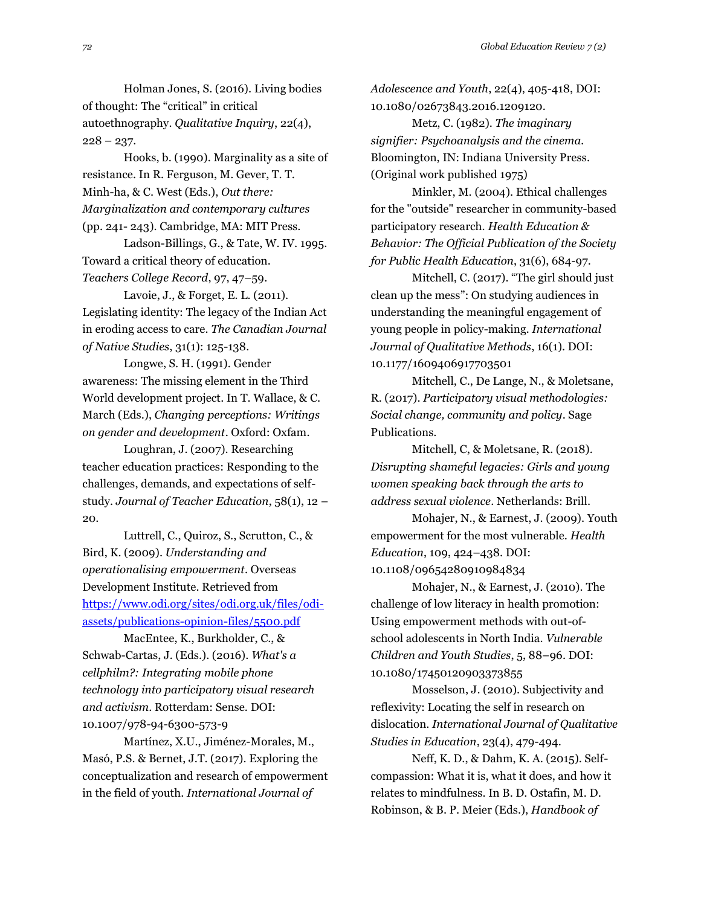Holman Jones, S. (2016). Living bodies of thought: The "critical" in critical autoethnography. *Qualitative Inquiry*, 22(4),  $228 - 237.$ 

Hooks, b. (1990). Marginality as a site of resistance. In R. Ferguson, M. Gever, T. T. Minh-ha, & C. West (Eds.), *Out there: Marginalization and contemporary cultures* (pp. 241- 243). Cambridge, MA: MIT Press.

Ladson-Billings, G., & Tate, W. IV. 1995. Toward a critical theory of education. *Teachers College Record*, 97, 47–59.

Lavoie, J., & Forget, E. L. (2011). Legislating identity: The legacy of the Indian Act in eroding access to care. *The Canadian Journal of Native Studies*, 31(1): 125-138.

Longwe, S. H. (1991). Gender awareness: The missing element in the Third World development project. In T. Wallace, & C. March (Eds.), *Changing perceptions: Writings on gender and development*. Oxford: Oxfam.

Loughran, J. (2007). Researching teacher education practices: Responding to the challenges, demands, and expectations of selfstudy. *Journal of Teacher Education*, 58(1), 12 – 20.

Luttrell, C., Quiroz, S., Scrutton, C., & Bird, K. (2009). *Understanding and operationalising empowerment*. Overseas Development Institute. Retrieved from [https://www.odi.org/sites/odi.org.uk/files/odi](https://www.odi.org/sites/odi.org.uk/files/odi-assets/publications-opinion-files/5500.pdf)[assets/publications-opinion-files/5500.pdf](https://www.odi.org/sites/odi.org.uk/files/odi-assets/publications-opinion-files/5500.pdf)

MacEntee, K., Burkholder, C., & Schwab-Cartas, J. (Eds.). (2016). *What's a cellphilm?: Integrating mobile phone technology into participatory visual research and activism*. Rotterdam: Sense. DOI: 10.1007/978-94-6300-573-9

Martínez, X.U., Jiménez-Morales, M., Masó, P.S. & Bernet, J.T. (2017). Exploring the conceptualization and research of empowerment in the field of youth. *International Journal of*

*Adolescence and Youth*, 22(4), 405-418, DOI: 10.1080/02673843.2016.1209120.

Metz, C. (1982). *The imaginary signifier: Psychoanalysis and the cinema.* Bloomington, IN: Indiana University Press. (Original work published 1975)

Minkler, M. (2004). Ethical challenges for the "outside" researcher in community-based participatory research. *Health Education & Behavior: The Official Publication of the Society for Public Health Education*, 31(6), 684-97.

Mitchell, C. (2017). "The girl should just clean up the mess": On studying audiences in understanding the meaningful engagement of young people in policy-making*. International Journal of Qualitative Methods*, 16(1). DOI: 10.1177/1609406917703501

Mitchell, C., De Lange, N., & Moletsane, R. (2017). *Participatory visual methodologies: Social change, community and policy*. Sage Publications.

Mitchell, C, & Moletsane, R. (2018). *Disrupting shameful legacies: Girls and young women speaking back through the arts to address sexual violence*. Netherlands: Brill.

Mohajer, N., & Earnest, J. (2009). Youth empowerment for the most vulnerable. *Health Education*, 109, 424–438. DOI: 10.1108/09654280910984834

Mohajer, N., & Earnest, J. (2010). The challenge of low literacy in health promotion: Using empowerment methods with out-ofschool adolescents in North India. *Vulnerable Children and Youth Studies*, 5, 88–96. DOI: 10.1080/17450120903373855

Mosselson, J. (2010). Subjectivity and reflexivity: Locating the self in research on dislocation. *International Journal of Qualitative Studies in Education*, 23(4), 479-494.

Neff, K. D., & Dahm, K. A. (2015). Selfcompassion: What it is, what it does, and how it relates to mindfulness. In B. D. Ostafin, M. D. Robinson, & B. P. Meier (Eds.), *Handbook of*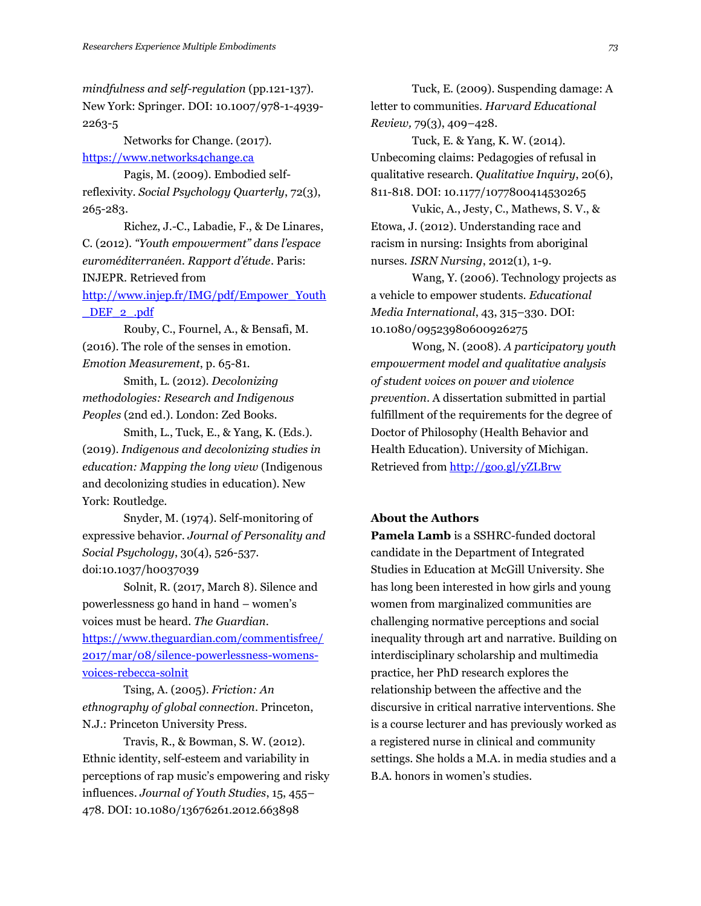*mindfulness and self-regulation* (pp.121-137). New York: Springer. DOI: 10.1007/978-1-4939- 2263-5

Networks for Change. (2017).

### [https://www.networks4change.ca](https://www.networks4change.ca/)

Pagis, M. (2009). Embodied selfreflexivity. *Social Psychology Quarterly*, 72(3), 265-283.

Richez, J.-C., Labadie, F., & De Linares, C. (2012). *"Youth empowerment" dans l'espace euroméditerranéen. Rapport d'étude*. Paris: INJEPR. Retrieved from

[http://www.injep.fr/IMG/pdf/Empower\\_Youth](http://www.injep.fr/IMG/pdf/Empower_Youth_DEF_2_.pdf) DEF 2 .pdf

Rouby, C., Fournel, A., & Bensafi, M. (2016). The role of the senses in emotion. *Emotion Measurement*, p. 65-81.

Smith, L. (2012). *Decolonizing methodologies: Research and Indigenous Peoples* (2nd ed.). London: Zed Books.

Smith, L., Tuck, E., & Yang, K. (Eds.). (2019). *Indigenous and decolonizing studies in education: Mapping the long view* (Indigenous and decolonizing studies in education). New York: Routledge.

Snyder, M. (1974). Self-monitoring of expressive behavior. *Journal of Personality and Social Psychology*, 30(4), 526-537. doi:10.1037/h0037039

Solnit, R. (2017, March 8). Silence and powerlessness go hand in hand – women's voices must be heard. *The Guardian*. [https://www.theguardian.com/commentisfree/](https://www.theguardian.com/commentisfree/2017/mar/08/silence-powerlessness-womens-voices-rebecca-solnit) [2017/mar/08/silence-powerlessness-womens](https://www.theguardian.com/commentisfree/2017/mar/08/silence-powerlessness-womens-voices-rebecca-solnit)[voices-rebecca-solnit](https://www.theguardian.com/commentisfree/2017/mar/08/silence-powerlessness-womens-voices-rebecca-solnit)

Tsing, A. (2005). *Friction: An ethnography of global connection*. Princeton, N.J.: Princeton University Press.

Travis, R., & Bowman, S. W. (2012). Ethnic identity, self-esteem and variability in perceptions of rap music's empowering and risky influences. *Journal of Youth Studies*, 15, 455– 478. DOI: 10.1080/13676261.2012.663898

Tuck, E. (2009). Suspending damage: A letter to communities. *Harvard Educational Review,* 79(3), 409–428.

Tuck, E. & Yang, K. W. (2014). Unbecoming claims: Pedagogies of refusal in qualitative research. *Qualitative Inquiry*, 20(6), 811-818. DOI: 10.1177/1077800414530265

Vukic, A., Jesty, C., Mathews, S. V., & Etowa, J. (2012). Understanding race and racism in nursing: Insights from aboriginal nurses. *ISRN Nursing*, 2012(1), 1-9.

Wang, Y. (2006). Technology projects as a vehicle to empower students. *Educational Media International*, 43, 315–330. DOI: 10.1080/09523980600926275

Wong, N. (2008). *A participatory youth empowerment model and qualitative analysis of student voices on power and violence prevention*. A dissertation submitted in partial fulfillment of the requirements for the degree of Doctor of Philosophy (Health Behavior and Health Education). University of Michigan. Retrieved from<http://goo.gl/yZLBrw>

## **About the Authors**

**Pamela Lamb** is a SSHRC-funded doctoral candidate in the Department of Integrated Studies in Education at McGill University. She has long been interested in how girls and young women from marginalized communities are challenging normative perceptions and social inequality through art and narrative. Building on interdisciplinary scholarship and multimedia practice, her PhD research explores the relationship between the affective and the discursive in critical narrative interventions. She is a course lecturer and has previously worked as a registered nurse in clinical and community settings. She holds a M.A. in media studies and a B.A. honors in women's studies.